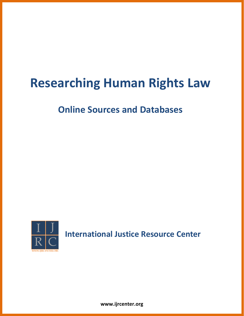# **Researching Human Rights Law**

## **Online Sources and Databases**



**International Justice Resource Center**

**www.ijrcenter.org**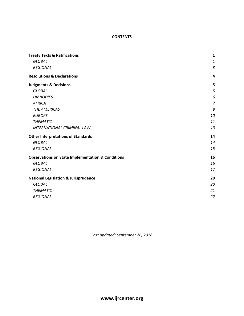### **CONTENTS**

| <b>Treaty Texts &amp; Ratifications</b>                      | $\mathbf{1}$   |
|--------------------------------------------------------------|----------------|
| <b>GLOBAL</b>                                                | $\mathbf{1}$   |
| <b>REGIONAL</b>                                              | 3              |
| <b>Resolutions &amp; Declarations</b>                        | 4              |
| <b>Judgments &amp; Decisions</b>                             | 5              |
| <b>GLOBAL</b>                                                | 5              |
| <b>UN BODIES</b>                                             | 6              |
| <b>AFRICA</b>                                                | $\overline{z}$ |
| <b>THE AMERICAS</b>                                          | 8              |
| <b>EUROPE</b>                                                | 10             |
| <b>THEMATIC</b>                                              | 11             |
| <b>INTERNATIONAL CRIMINAL LAW</b>                            | 13             |
| <b>Other Interpretations of Standards</b>                    | 14             |
| <b>GLOBAL</b>                                                | 14             |
| <b>REGIONAL</b>                                              | 15             |
| <b>Observations on State Implementation &amp; Conditions</b> | 16             |
| <b>GLOBAL</b>                                                | 16             |
| <b>REGIONAL</b>                                              | 17             |
| <b>National Legislation &amp; Jurisprudence</b>              | 20             |
| <b>GLOBAL</b>                                                | 20             |
| <b>THEMATIC</b>                                              | 21             |
| <b>REGIONAL</b>                                              | 22             |

*Last updated: September 26, 2018*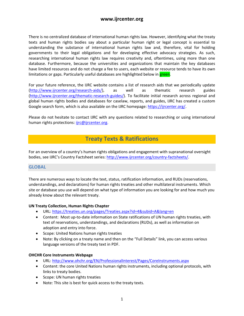There is no centralized database of international human rights law. However, identifying what the treaty texts and human rights bodies say about a particular human right or legal concept is essential to understanding the substance of international human rights law and, therefore, vital for holding governments to their legal obligations and for developing effective advocacy strategies. As such, researching international human rights law requires creativity and, oftentimes, using more than one database. Furthermore, because the universities and organizations that maintain the key databases have limited resources and do not charge a fee to users, each website or resource tends to have its own limitations or gaps. Particularly useful databases are highlighted below in **green**.

For your future reference, the IJRC website contains a list of research aids that we periodically update [\(http://www.ijrcenter.org/research-aids/\)](http://www.ijrcenter.org/research-aids/), as well as thematic research guides [\(http://www.ijrcenter.org/thematic-research-guides/](http://www.ijrcenter.org/thematic-research-guides/)). To facilitate initial research across regional and global human rights bodies and databases for caselaw, reports, and guides, IJRC has created a custom Google search form, which is also available on the IJRC homepage: <https://ijrcenter.org/>.

Please do not hesitate to contact IJRC with any questions related to researching or using international human rights protections: [ijrc@ijrcenter.org](mailto:ijrc@ijrcenter.org).

### <span id="page-2-0"></span>**Treaty Texts & Ratifications**

For an overview of a country's human rights obligations and engagement with supranational oversight bodies, see IJRC's Country Factsheet series: <http://www.ijrcenter.org/country-factsheets/>.

### <span id="page-2-1"></span>**GLOBAL**

There are numerous ways to locate the text, status, ratification information, and RUDs (reservations, understandings, and declarations) for human rights treaties and other multilateral instruments. Which site or database you use will depend on what type of information you are looking for and how much you already know about the relevant treaty.

### **UN Treaty Collection, Human Rights Chapter**

- URL:<https://treaties.un.org/pages/Treaties.aspx?id=4&subid=A&lang=en>
- Content: Most up-to-date information on State ratifications of UN human rights treaties, with text of reservations, understandings, and declarations (RUDs), as well as information on adoption and entry into force.
- Scope: United Nations human rights treaties
- Note: By clicking on a treaty name and then on the "Full Details" link, you can access various language versions of the treaty text in PDF.

### **OHCHR Core Instruments Webpage**

- URL:<http://www.ohchr.org/EN/ProfessionalInterest/Pages/CoreInstruments.aspx>
- Content: the core United Nations human rights instruments, including optional protocols, with links to treaty bodies.
- Scope: UN human rights treaties
- Note: This site is best for quick access to the treaty texts.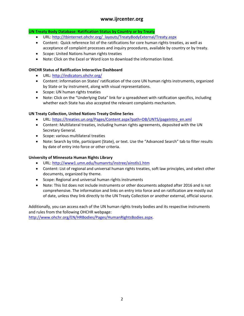### **UN Treaty Body Database: Ratification Status by Country or by Treaty**

- URL: [http://tbinternet.ohchr.org/\\_layouts/TreatyBodyExternal/Treaty.aspx](http://tbinternet.ohchr.org/_layouts/TreatyBodyExternal/Treaty.aspx)
- Content: Quick reference list of the ratifications for core human rights treaties, as well as acceptance of complaint processes and inquiry procedures, available by country or by treaty.
- Scope: United Nations human rights treaties
- Note: Click on the Excel or Word icon to download the information listed.

### **OHCHR Status of Ratification Interactive Dashboard**

- URL:<http://indicators.ohchr.org/>
- Content: information on States' ratification of the core UN human rights instruments, organized by State or by instrument, along with visual representations.
- Scope: UN human rights treaties
- Note: Click on the "Underlying Data" link for a spreadsheet with ratification specifics, including whether each State has also accepted the relevant complaints mechanism.

### **UN Treaty Collection, United Nations Treaty Online Series**

- URL: [https://treaties.un.org/Pages/Content.aspx?path=DB/UNTS/pageIntro\\_en.xml](https://treaties.un.org/Pages/Content.aspx?path=DB/UNTS/pageIntro_en.xml)
- Content: Multilateral treaties, including human rights agreements, deposited with the UN Secretary General.
- Scope: various multilateral treaties
- Note: Search by title, participant (State), or text. Use the "Advanced Search" tab to filter results by date of entry into force or other criteria.

### **University of Minnesota Human Rights Library**

- URL:<http://www1.umn.edu/humanrts/instree/ainstls1.htm>
- Content: List of regional and universal human rights treaties, soft law principles, and select other documents, organized by theme.
- Scope: Regional and universal human rights instruments
- Note: This list does not include instruments or other documents adopted after 2016 and is not comprehensive. The information and links on entry into force and on ratification are mostly out of date, unless they link directly to the UN Treaty Collection or another external, official source.

Additionally, you can access each of the UN human rights treaty bodies and its respective instruments and rules from the following OHCHR webpage:

[http://www.ohchr.org/EN/HRBodies/Pages/HumanRightsBodies.aspx.](http://www.ohchr.org/EN/HRBodies/Pages/HumanRightsBodies.aspx)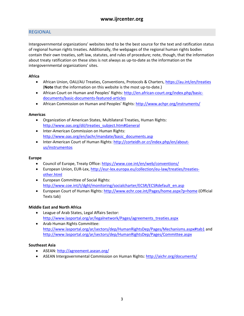### <span id="page-4-0"></span>**REGIONAL**

Intergovernmental organizations' websites tend to be the best source for the text and ratification status of regional human rights treaties. Additionally, the webpages of the regional human rights bodies contain their own treaties, soft law, statutes, and rules of procedure; note, though, that the information about treaty ratification on these sites is not always as up-to-date as the information on the intergovernmental organizations' sites.

### **Africa**

- African Union, OAU/AU Treaties, Conventions, Protocols & Charters,<https://au.int/en/treaties> (**Note** that the information on this website is the most up-to-date.)
- African Court on Human and Peoples' Rights: [http://en.african-court.org/index.php/basic](http://en.african-court.org/index.php/basic-documents/basic-documents-featured-articles)[documents/basic-documents-featured-articles](http://en.african-court.org/index.php/basic-documents/basic-documents-featured-articles)
- African Commission on Human and Peoples' Rights: <http://www.achpr.org/instruments/>

### **Americas**

- Organization of American States, Multilateral Treaties, Human Rights: [http://www.oas.org/dil/treaties\\_subject.htm#General](http://www.oas.org/dil/treaties_subject.htm#General)
- Inter-American Commission on Human Rights: [http://www.oas.org/en/iachr/mandate/basic\\_documents.asp](http://www.oas.org/en/iachr/mandate/basic_documents.asp)
- Inter-American Court of Human Rights: [http://corteidh.or.cr/index.php/en/about](http://corteidh.or.cr/index.php/en/about-us/instrumentos)[us/instrumentos](http://corteidh.or.cr/index.php/en/about-us/instrumentos)

### **Europe**

- Council of Europe, Treaty Office:<https://www.coe.int/en/web/conventions/>
- European Union, EUR-Lex, [http://eur-lex.europa.eu/collection/eu-law/treaties/treaties](http://eur-lex.europa.eu/collection/eu-law/treaties/treaties-other.html)[other.html](http://eur-lex.europa.eu/collection/eu-law/treaties/treaties-other.html)
- European Committee of Social Rights: [http://www.coe.int/t/dghl/monitoring/socialcharter/ECSR/ECSRdefault\\_en.asp](http://www.coe.int/t/dghl/monitoring/socialcharter/ECSR/ECSRdefault_en.asp)
- European Court of Human Rights:<http://www.echr.coe.int/Pages/home.aspx?p=home>(Official Texts tab)

### **Middle East and North Africa**

- League of Arab States, Legal Affairs Sector: [http://www.lasportal.org/ar/legalnetwork/Pages/agreements\\_treaties.aspx](http://www.lasportal.org/ar/legalnetwork/Pages/agreements_treaties.aspx)
- Arab Human Rights Committee: <http://www.lasportal.org/ar/sectors/dep/HumanRightsDep/Pages/Mechanisms.aspx#tab1>and <http://www.lasportal.org/ar/sectors/dep/HumanRightsDep/Pages/Committee.aspx>

### **Southeast Asia**

- ASEAN: <http://agreement.asean.org/>
- ASEAN Intergovernmental Commission on Human Rights:<http://aichr.org/documents/>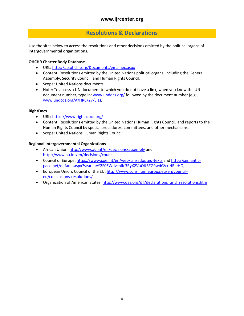### <span id="page-5-0"></span>**Resolutions & Declarations**

Use the sites below to access the resolutions and other decisions emitted by the political organs of intergovernmental organizations.

### **OHCHR Charter Body Database**

- URL:<http://ap.ohchr.org/Documents/gmainec.aspx>
- Content: Resolutions emitted by the United Nations political organs, including the General Assembly, Security Council, and Human Rights Council.
- Scope: United Nations documents
- Note: To access a UN document to which you do not have a link, when you know the UN document number, type in: [www.undocs.org/](http://www.undocs.org/) followed by the document number (e.g., [www.undocs.org/A/HRC/27/L.1\).](http://www.undocs.org/A/HRC/27/L.1))

### **RightDocs**

- URL:<https://www.right-docs.org/>
- Content: Resolutions emitted by the United Nations Human Rights Council, and reports to the Human Rights Council by special procedures, committees, and other mechanisms.
- Scope: United Nations Human Rights Council

### **Regional Intergovernmental Organizations**

- African Union: <http://www.au.int/en/decisions/assembly>and <http://www.au.int/en/decisions/council>
- Council of Europe: <https://www.coe.int/en/web/cm/adopted-texts>and [http://semantic](http://semantic-pace.net/default.aspx?search=Y2F0ZWdvcnlfc3RyX2VuOiJBZG9wdGVkIHRleHQi)[pace.net/default.aspx?search=Y2F0ZWdvcnlfc3RyX2VuOiJBZG9wdGVkIHRleHQi](http://semantic-pace.net/default.aspx?search=Y2F0ZWdvcnlfc3RyX2VuOiJBZG9wdGVkIHRleHQi)
- European Union, Council of the EU: [http://www.consilium.europa.eu/en/council](http://www.consilium.europa.eu/en/council-eu/conclusions-resolutions/)[eu/conclusions-resolutions/](http://www.consilium.europa.eu/en/council-eu/conclusions-resolutions/)
- Organization of American States: [http://www.oas.org/dil/declarations\\_and\\_resolutions.htm](http://www.oas.org/dil/declarations_and_resolutions.htm)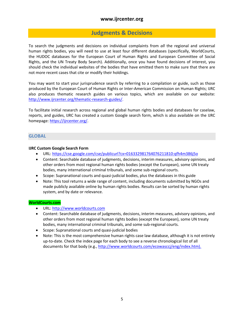### <span id="page-6-0"></span>**Judgments & Decisions**

To search the judgments and decisions on individual complaints from *all* the regional and universal human rights bodies, you will need to use at least four different databases (specifically, WorldCourts, the HUDOC databases for the European Court of Human Rights and European Committee of Social Rights, and the UN Treaty Body Search). Additionally, once you have found decisions of interest, you should check the individual websites of the bodies that have emitted them to make sure that there are not more recent cases that cite or modify their holdings.

You may want to start your jurisprudence search by referring to a compilation or guide, such as those produced by the European Court of Human Rights or Inter-American Commission on Human Rights; IJRC also produces thematic research guides on various topics, which are available on our website: [http://www.ijrcenter.org/thematic-research-guides/.](http://www.ijrcenter.org/thematic-research-guides/)

To facilitate initial research across regional and global human rights bodies and databases for caselaw, reports, and guides, IJRC has created a custom Google search form, which is also available on the IJRC homepage: <https://ijrcenter.org/>.

### <span id="page-6-1"></span>**GLOBAL**

### **IJRC Custom Google Search Form**

- URL:<https://cse.google.com/cse/publicurl?cx=016332981764076211810:qfh4m386j5o>
- Content: Searchable database of judgments, decisions, interim measures, advisory opinions, and other orders from most regional human rights bodies (except the European), some UN treaty bodies, many international criminal tribunals, and some sub-regional courts.
- Scope: Supranational courts and quasi-judicial bodies, plus the databases in this guide
- Note: This tool returns a wide range of content, including documents submitted by NGOs and made publicly available online by human rights bodies. Results can be sorted by human rights system, and by date or relevance.

### **WorldCourts.com**

- URL: [http://www.worldcourts.com](http://www.worldcourts.com/)
- Content: Searchable database of judgments, decisions, interim measures, advisory opinions, and other orders from most regional human rights bodies (except the European), some UN treaty bodies, many international criminal tribunals, and some sub-regional courts.
- Scope: Supranational courts and quasi-judicial bodies
- Note: This is the most comprehensive human rights case law database, although it is not entirely up-to-date. Check the index page for each body to see a reverse chronological list of all documents for that body (e.g., [http://www.worldcourts.com/ecowasccj/eng/index.htm\)](http://www.worldcourts.com/ecowasccj/eng/index.htm).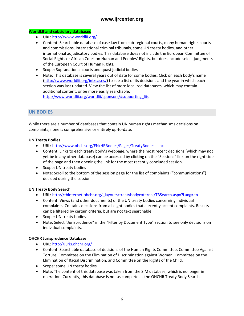### **WorldLII and subsidiary databases**

- URL:<http://www.worldlii.org/>
- Content: Searchable database of case law from sub-regional courts, many human rights courts and commissions, international criminal tribunals, some UN treaty bodies, and other international adjudicatory bodies. This database does not include the European Committee of Social Rights or African Court on Human and Peoples' Rights, but does include select judgments of the European Court of Human Rights.
- Scope: Supranational courts and quasi-judicial bodies
- Note: This database is several years out of date for some bodies. Click on each body's name [\(http://www.worldlii.org/int/cases/\)](http://www.worldlii.org/int/cases/) to see a list of its decisions and the year in which each section was last updated. View the list of more localized databases, which may contain additional content, or be more easily searchable: [http://www.worldlii.org/worldlii/sponsors/#supporting\\_liis](http://www.worldlii.org/worldlii/sponsors/#supporting_liis).

<span id="page-7-0"></span>**UN BODIES**

While there are a number of databases that contain UN human rights mechanisms decisions on complaints, none is comprehensive or entirely up-to-date.

### **UN Treaty Bodies**

- URL:<http://www.ohchr.org/EN/HRBodies/Pages/TreatyBodies.aspx>
- Content: Links to each treaty body's webpage, where the most recent decisions (which may not yet be in any other database) can be accessed by clicking on the "Sessions" link on the right side of the page and then opening the link for the most recently concluded session.
- Scope: UN treaty bodies
- Note: Scroll to the bottom of the session page for the list of complaints ("communications") decided during the session.

### **UN Treaty Body Search**

- URL: [http://tbinternet.ohchr.org/\\_layouts/treatybodyexternal/TBSearch.aspx?Lang=en](http://tbinternet.ohchr.org/_layouts/treatybodyexternal/TBSearch.aspx?Lang=en)
- Content: Views (and other documents) of the UN treaty bodies concerning individual complaints. Contains decisions from all eight bodies that currently accept complaints. Results can be filtered by certain criteria, but are not text searchable.
- Scope: UN treaty bodies
- Note: Select "Jurisprudence" in the "Filter by Document Type" section to see only decisions on individual complaints.

### **OHCHR Jurisprudence Database**

- URL:<http://juris.ohchr.org/>
- Content: Searchable database of decisions of the Human Rights Committee, Committee Against Torture, Committee on the Elimination of Discrimination against Women, Committee on the Elimination of Racial Discrimination, and Committee on the Rights of the Child.
- Scope: some UN treaty bodies
- Note: The content of this database was taken from the SIM database, which is no longer in operation. Currently, this database is not as complete as the OHCHR Treaty Body Search.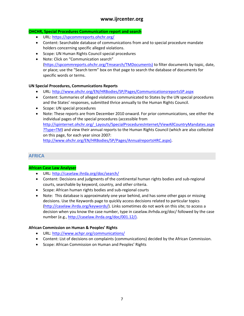### **OHCHR, Special Procedures Communication report and search**

- URL:<https://spcommreports.ohchr.org/>
- Content: Searchable database of communications from and to special procedure mandate holders concerning specific alleged violations.
- Scope: UN Human Rights Council special procedures
- Note: Click on "Communication search" [\(https://spcommreports.ohchr.org/Tmsearch/TMDocuments\)](https://spcommreports.ohchr.org/Tmsearch/TMDocuments)) to filter documents by topic, date, or place; use the "Search term" box on that page to search the database of documents for specific words or terms.

### **UN Special Procedures, Communications Reports**

- URL:<http://www.ohchr.org/EN/HRBodies/SP/Pages/CommunicationsreportsSP.aspx>
- Content: Summaries of alleged violations communicated to States by the UN special procedures and the States' responses, submitted thrice annually to the Human Rights Council.
- Scope: UN special procedures
- Note: These reports are from December 2010 onward. For prior communications, see either the individual pages of the special procedures (accessible from [http://spinternet.ohchr.org/\\_Layouts/SpecialProceduresInternet/ViewAllCountryMandates.aspx](http://spinternet.ohchr.org/_Layouts/SpecialProceduresInternet/ViewAllCountryMandates.aspx?Type=TM) [?Type=TM\)](http://spinternet.ohchr.org/_Layouts/SpecialProceduresInternet/ViewAllCountryMandates.aspx?Type=TM) and view their annual reports to the Human Rights Council (which are also collected on this page, for each year since 2007: [http://www.ohchr.org/EN/HRBodies/SP/Pages/AnnualreportsHRC.aspx\)](http://www.ohchr.org/EN/HRBodies/SP/Pages/AnnualreportsHRC.aspx)).

### <span id="page-8-0"></span>**AFRICA**

### **African Case Law Analyser**

- URL:<http://caselaw.ihrda.org/doc/search/>
- Content: Decisions and judgments of the continental human rights bodies and sub-regional courts, searchable by keyword, country, and other criteria.
- Scope: African human rights bodies and sub-regional courts
- Note: This database is approximately one year behind, and has some other gaps or missing decisions. Use the Keywords page to quickly access decisions related to particular topics [\(http://caselaw.ihrda.org/keywords/](http://caselaw.ihrda.org/keywords/)). Links sometimes do not work on this site; to access a decision when you know the case number, type in caselaw.ihrhda.org/doc/ followed by the case number (e.g., [http://caselaw.ihrda.org/doc/001.12/\).](http://caselaw.ihrda.org/doc/001.12/))

### **African Commission on Human & Peoples' Rights**

- URL:<http://www.achpr.org/communications/>
- Content: List of decisions on complaints (communications) decided by the African Commission.
- Scope: African Commission on Human and Peoples' Rights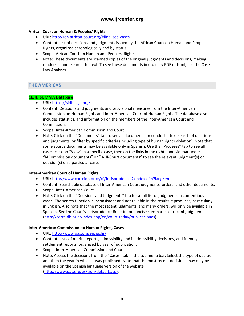### **African Court on Human & Peoples' Rights**

- URL:<http://en.african-court.org/#finalised-cases>
- Content: List of decisions and judgments issued by the African Court on Human and Peoples' Rights, organized chronologically and by status.
- Scope: African Court on Human and Peoples' Rights
- Note: These documents are scanned copies of the original judgments and decisions, making readers cannot search the text. To see these documents in ordinary PDF or html, use the Case Law Analyser.

### <span id="page-9-0"></span>**THE AMERICAS**

### **CEJIL, SUMMA Database**

- URL:<https://sidh.cejil.org/>
- Content: Decisions and judgments and provisional measures from the Inter-American Commission on Human Rights and Inter-American Court of Human Rights. The database also includes statistics, and information on the members of the Inter-American Court and Commission.
- Scope: Inter-American Commission and Court
- Note: Click on the "Documents" tab to see all documents, or conduct a text search of decisions and judgments, or filter by specific criteria (including type of human rights violation). Note that some source documents may be available only in Spanish. Use the "Proceses" tab to see all cases; click on "View" in a specific case, then on the links in the right hand sidebar under "IACommission documents" or "IAHRCourt documents" to see the relevant judgment(s) or decision(s) on a particular case.

### **Inter-American Court of Human Rights**

- URL:<http://www.corteidh.or.cr/cf/Jurisprudencia2/index.cfm?lang=en>
- Content: Searchable database of Inter-American Court judgments, orders, and other documents.
- Scope: Inter-American Court
- Note: Click on the "Decisions and Judgments" tab for a full list of judgments in contentious cases. The search function is inconsistent and not reliable in the results it produces, particularly in English. Also note that the most recent judgments, and many orders, will only be available in Spanish. See the Court's Jurisprudence Bulletin for concise summaries of recent judgments [\(http://corteidh.or.cr/index.php/en/court-today/publicaciones](http://corteidh.or.cr/index.php/en/court-today/publicaciones)).

### **Inter-American Commission on Human Rights, Cases**

- URL:<http://www.oas.org/en/iachr/>
- Content: Lists of merits reports, admissibility and inadmissibility decisions, and friendly settlement reports, organized by year of publication.
- Scope: Inter-American Commission and Court
- Note: Access the decisions from the "Cases" tab in the top menu bar. Select the type of decision and then the year in which it was published. Note that the most recent decisions may only be available on the Spanish language version of the website [\(http://www.oas.org/es/cidh/default.asp\).](http://www.oas.org/es/cidh/default.asp))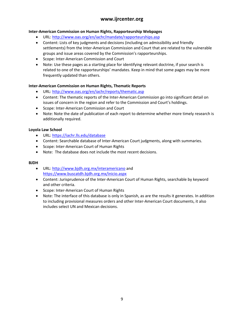### **Inter-American Commission on Human Rights, Rapporteurship Webpages**

- URL:<http://www.oas.org/en/iachr/mandate/rapporteurships.asp>
- Content: Lists of key judgments and decisions (including on admissibility and friendly settlements) from the Inter-American Commission and Court that are related to the vulnerable groups and issue areas covered by the Commission's rapporteurships.
- Scope: Inter-American Commission and Court
- Note: Use these pages as a starting place for identifying relevant doctrine, if your search is related to one of the rapporteurships' mandates. Keep in mind that some pages may be more frequently updated than others.

### **Inter-American Commission on Human Rights, Thematic Reports**

- URL:<http://www.oas.org/en/iachr/reports/thematic.asp>
- Content: The thematic reports of the Inter-American Commission go into significant detail on issues of concern in the region and refer to the Commission and Court's holdings.
- Scope: Inter-American Commission and Court
- Note: Note the date of publication of each report to determine whether more timely research is additionally required.

### **Loyola Law School**

- URL:<https://iachr.lls.edu/database>
- Content: Searchable database of Inter-American Court judgments, along with summaries.
- Scope: Inter-American Court of Human Rights
- Note: The database does not include the most recent decisions.

### **BJDH**

- URL:<http://www.bjdh.org.mx/interamericano>and <https://www.buscatdh.bjdh.org.mx/inicio.aspx>
- Content: Jurisprudence of the Inter-American Court of Human Rights, searchable by keyword and other criteria.
- Scope: Inter-American Court of Human Rights
- Note: The interface of this database is only in Spanish, as are the results it generates. In addition to including provisional measures orders and other Inter-American Court documents, it also includes select UN and Mexican decisions.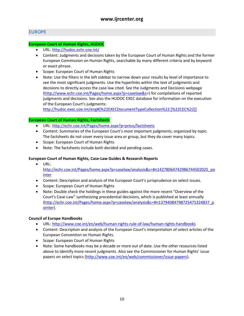### <span id="page-11-0"></span>**EUROPE**

### **European Court of Human Rights, HUDOC**

- URL:<http://hudoc.echr.coe.int/>
- Content: Judgments and decisions taken by the European Court of Human Rights and the former European Commission on Human Rights, searchable by many different criteria and by keyword or exact phrase.
- **•** Scope: European Court of Human Rights
- Note: Use the filters in the left sidebar to narrow down your results by level of importance to see the most significant judgments. Use the hyperlinks within the text of judgments and decisions to directly access the case law cited. See the Judgments and Decisions webpage [\(http://www.echr.coe.int/Pages/home.aspx?p=caselaw&c](http://www.echr.coe.int/Pages/home.aspx?p=caselaw&c)=) for compilations of reported judgments and decisions. See also the HUDOC EXEC database for information on the execution of the European Court's judgments:

[http://hudoc.exec.coe.int/eng#{%22EXECDocumentTypeCollection%22:\[%22CEC%22\]}](http://hudoc.exec.coe.int/eng#%7B%22EXECDocumentTypeCollection%22:%5B%22CEC%22%5D%7D)

### **European Court of Human Rights, Factsheets**

- URL:<http://echr.coe.int/Pages/home.aspx?p=press/factsheets>
- Content: Summaries of the European Court's most important judgments, organized by topic. The factsheets do not cover every issue area or group, but they do cover many topics.
- Scope: European Court of Human Rights
- Note: The factsheets include both decided and pending cases.

### **European Court of Human Rights, Case-Law Guides & Research Reports**

- URL: [http://echr.coe.int/Pages/home.aspx?p=caselaw/analysis&c=#n14278064742986744502025\\_po](http://echr.coe.int/Pages/home.aspx?p=caselaw/analysis&c=#n14278064742986744502025_pointer) [inter](http://echr.coe.int/Pages/home.aspx?p=caselaw/analysis&c=#n14278064742986744502025_pointer)
- Content: Description and analysis of the European Court's jurisprudence on select issues.
- Scope: European Court of Human Rights
- Note: Double check the holdings in these guides against the more recent "Overview of the Court's Case-Law" synthesizing precedential decisions, which is published at least annually [\(http://echr.coe.int/Pages/home.aspx?p=caselaw/analysis&c=#n13794084798725475324837\\_p](http://echr.coe.int/Pages/home.aspx?p=caselaw/analysis&c=#n13794084798725475324837_pointer) [ointer](http://echr.coe.int/Pages/home.aspx?p=caselaw/analysis&c=#n13794084798725475324837_pointer)).

### **Council of Europe Handbooks**

- URL:<http://www.coe.int/en/web/human-rights-rule-of-law/human-rights-handbooks>
- Content: Description and analysis of the European Court's interpretation of select articles of the European Convention on Human Rights.
- Scope: European Court of Human Rights
- Note: Some handbooks may be a decade or more out of date. Use the other resources listed above to identify more recent judgments. Also see the Commissioner for Human Rights' issue papers on select topics [\(http://www.coe.int/en/web/commissioner/issue-papers\)](http://www.coe.int/en/web/commissioner/issue-papers).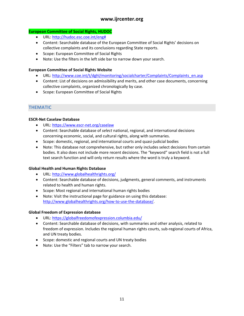### **European Committee of Social Rights, HUDOC**

- URL: [http://hudoc.esc.coe.int/eng#](http://hudoc.esc.coe.int/eng)
- Content: Searchable database of the European Committee of Social Rights' decisions on collective complaints and its conclusions regarding State reports.
- Scope: European Committee of Social Rights
- Note: Use the filters in the left side bar to narrow down your search.

### **European Committee of Social Rights Website**

- URL: [http://www.coe.int/t/dghl/monitoring/socialcharter/Complaints/Complaints\\_en.asp](http://www.coe.int/t/dghl/monitoring/socialcharter/Complaints/Complaints_en.asp)
- Content: List of decisions on admissibility and merits, and other case documents, concerning collective complaints, organized chronologically by case.
- Scope: European Committee of Social Rights

### <span id="page-12-0"></span>**THEMATIC**

### **ESCR-Net Caselaw Database**

- URL:<https://www.escr-net.org/caselaw>
- Content: Searchable database of *select* national, regional, and international decisions concerning economic, social, and cultural rights, along with summaries.
- Scope: domestic, regional, and international courts and quasi-judicial bodies
- Note: This database not comprehensive, but rather only includes select decisions from certain bodies. It also does not include more recent decisions. The "keyword" search field is not a full text search function and will only return results where the word is truly a keyword.

### **Global Health and Human Rights Database**

- URL:<http://www.globalhealthrights.org/>
- Content: Searchable database of decisions, judgments, general comments, and instruments related to health and human rights.
- Scope: Most regional and international human rights bodies
- Note: Visit the instructional page for guidance on using this database: <http://www.globalhealthrights.org/how-to-use-the-database/>.

### **Global Freedom of Expression database**

- URL:<https://globalfreedomofexpression.columbia.edu/>
- Content: Searchable database of decisions, with summaries and other analysis, related to freedom of expression. Includes the regional human rights courts, sub-regional courts of Africa, and UN treaty bodies.
- Scope: domestic and regional courts and UN treaty bodies
- Note: Use the "Filters" tab to narrow your search.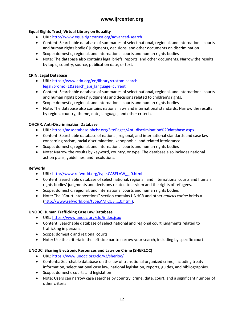### **Equal Rights Trust, Virtual Library on Equality**

- URL:<http://www.equalrightstrust.org/advanced-search>
- Content: Searchable database of summaries of select national, regional, and international courts and human rights bodies' judgments, decisions, and other documents on discrimination
- Scope: domestic, regional, and international courts and human rights bodies
- Note: The database also contains legal briefs, reports, and other documents. Narrow the results by topic, country, source, publication date, or text.

### **CRIN, Legal Database**

- URL: [https://www.crin.org/en/library/custom-search](https://www.crin.org/en/library/custom-search-legal?promo=1&search_api_language=current)[legal?promo=1&search\\_api\\_language=current](https://www.crin.org/en/library/custom-search-legal?promo=1&search_api_language=current)
- Content: Searchable database of summaries of select national, regional, and international courts and human rights bodies' judgments and decisions related to children's rights.
- Scope: domestic, regional, and international courts and human rights bodies
- Note: The database also contains national laws and international standards. Narrow the results by region, country, theme, date, language, and other criteria.

### **OHCHR, Anti-Discrimination Database**

- URL:<https://adsdatabase.ohchr.org/SitePages/Anti-discrimination%20database.aspx>
- Content: Searchable database of national, regional, and international standards and case law concerning racism, racial discrimination, xenophobia, and related intolerance
- Scope: domestic, regional, and international courts and human rights bodies
- Note: Narrow the results by keyword, country, or type. The database also includes national action plans, guidelines, and resolutions.

### **Refworld**

- URL:<http://www.refworld.org/type,CASELAW,,,,,0.html>
- Content: Searchable database of select national, regional, and international courts and human rights bodies' judgments and decisions related to asylum and the rights of refugees.
- Scope: domestic, regional, and international courts and human rights bodies
- Note: The "Court Interventions" section contains UNHCR and other *amicus curiae* briefs.= [\(http://www.refworld.org/type,AMICUS,,,,,0.html\).](http://www.refworld.org/type,AMICUS,,,,,0.html))

### **UNODC Human Trafficking Case Law Database**

- URL:<https://www.unodc.org/cld/index.jspx>
- Content: Searchable database of select national and regional court judgments related to trafficking in persons.
- Scope: domestic and regional courts
- Note: Use the criteria in the left side bar to narrow your search, including by specific court.

### **UNODC, Sharing Electronic Resources and Laws on Crime (SHERLOC)**

- URL:<https://www.unodc.org/cld/v3/sherloc/>
- Contents: Searchable database on the law of transitional organized crime, including treaty information, select national case law, national legislation, reports, guides, and bibliographies.
- Scope: domestic courts and legislation
- Note: Users can narrow case searches by country, crime, date, court, and a significant number of other criteria.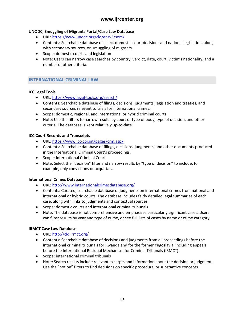### **UNODC, Smuggling of Migrants Portal/Case Law Database**

- URL:<https://www.unodc.org/cld/en/v3/som/>
- Contents: Searchable database of select domestic court decisions and national legislation, along with secondary sources, on smuggling of migrants.
- Scope: domestic courts and legislation
- Note: Users can narrow case searches by country, verdict, date, court, victim's nationality, and a number of other criteria.

### <span id="page-14-0"></span>**INTERNATIONAL CRIMINAL LAW**

### **ICC Legal Tools**

- URL:<https://www.legal-tools.org/search/>
- Contents: Searchable database of filings, decisions, judgments, legislation and treaties, and secondary sources relevant to trials for international crimes.
- Scope: domestic, regional, and international or hybrid criminal courts
- Note: Use the filters to narrow results by court or type of body, type of decision, and other criteria. The database is kept relatively up-to-date.

### **ICC Court Records and Transcripts**

- URL:<https://www.icc-cpi.int/pages/crm.aspx>
- Contents: Searchable database of filings, decisions, judgments, and other documents produced in the International Criminal Court's proceedings.
- Scope: International Criminal Court
- Note: Select the "decision" filter and narrow results by "type of decision" to include, for example, only convictions or acquittals.

### **International Crimes Database**

- URL:<http://www.internationalcrimesdatabase.org/>
- Contents: Curated, searchable database of judgments on international crimes from national and international or hybrid courts. The database includes fairly detailed legal summaries of each case, along with links to judgments and contextual sources.
- Scope: domestic courts and international criminal tribunals
- Note: The database is not comprehensive and emphasizes particularly significant cases. Users can filter results by year and type of crime, or see full lists of cases by name or crime category.

### **IRMCT Case Law Database**

- URL:<http://cld.irmct.org/>
- Contents: Searchable database of decisions and judgments from all proceedings before the international criminal tribunals for Rwanda and for the former Yugoslavia, including appeals before the International Residual Mechanism for Criminal Tribunals (IRMCT).
- Scope: international criminal tribunals
- Note: Search results include relevant excerpts and information about the decision or judgment. Use the "notion" filters to find decisions on specific procedural or substantive concepts.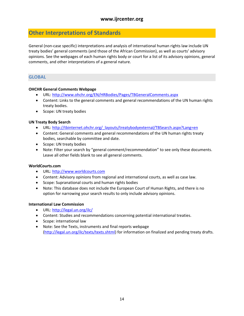### <span id="page-15-0"></span>**Other Interpretations of Standards**

General (non-case specific) interpretations and analysis of international human rights law include UN treaty bodies' general comments (and those of the African Commission), as well as courts' advisory opinions. See the webpages of each human rights body or court for a list of its advisory opinions, general comments, and other interpretations of a general nature.

### <span id="page-15-1"></span>**GLOBAL**

### **OHCHR General Comments Webpage**

- URL:<http://www.ohchr.org/EN/HRBodies/Pages/TBGeneralComments.aspx>
- Content: Links to the general comments and general recommendations of the UN human rights treaty bodies.
- Scope: UN treaty bodies

### **UN Treaty Body Search**

- URL: [http://tbinternet.ohchr.org/\\_layouts/treatybodyexternal/TBSearch.aspx?Lang=en](http://tbinternet.ohchr.org/_layouts/treatybodyexternal/TBSearch.aspx?Lang=en)
- Content: General comments and general recommendations of the UN human rights treaty bodies, searchable by committee and date.
- Scope: UN treaty bodies
- Note: Filter your search by "general comment/recommendation" to see only these documents. Leave all other fields blank to see all general comments.

### **WorldCourts.com**

- URL: [http://www.worldcourts.com](http://www.worldcourts.com/)
- Content: Advisory opinions from regional and international courts, as well as case law.
- Scope: Supranational courts and human rights bodies
- Note: This database does not include the European Court of Human Rights, and there is no option for narrowing your search results to only include advisory opinions.

### **International Law Commission**

- URL:<http://legal.un.org/ilc/>
- Content: Studies and recommendations concerning potential international treaties.
- Scope: international law
- Note: See the Texts, instruments and final reports webpage [\(http://legal.un.org/ilc/texts/texts.shtml\)](http://legal.un.org/ilc/texts/texts.shtml) for information on finalized and pending treaty drafts.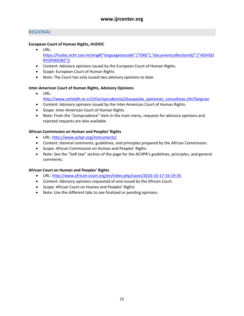### <span id="page-16-0"></span>**REGIONAL**

### **European Court of Human Rights, HUDOC**

- URL: [https://hudoc.echr.coe.int/eng#{"languageisocode":\["ENG"\],"documentcollectionid2":\["ADVISO](https://hudoc.echr.coe.int/eng#%7B) [RYOPINIONS"\]}](https://hudoc.echr.coe.int/eng#%7B)
- Content: Advisory opinions issued by the European Court of Human Rights.
- Scope: European Court of Human Rights
- Note: The Court has only issued two advisory opinions to date.

### **Inter-American Court of Human Rights, Advisory Opinions**

- URL: [http://www.corteidh.or.cr/cf/Jurisprudencia2/busqueda\\_opiniones\\_consultivas.cfm?lang=en](http://www.corteidh.or.cr/cf/Jurisprudencia2/busqueda_opiniones_consultivas.cfm?lang=en)
- Content: Advisory opinions issued by the Inter-American Court of Human Rights.
- Scope: Inter-American Court of Human Rights
- Note: From the "Jurisprudence" item in the main menu, requests for advisory opinions and rejected requests are also available.

### **African Commission on Human and Peoples' Rights**

- URL:<http://www.achpr.org/instruments/>
- Content: General comments, guidelines, and principles prepared by the African Commission.
- Scope: African Commission on Human and Peoples' Rights
- Note: See the "Soft law" section of the page for the ACHPR's guidelines, principles, and general comments.

### **African Court on Human and Peoples' Rights**

- URL:<http://www.african-court.org/en/index.php/cases/2016-10-17-16-19-35>
- Content: Advisory opinions requested of and issued by the African Court.
- Scope: African Court on Human and Peoples' Rights
- Note: Use the different tabs to see finalized or pending opinions.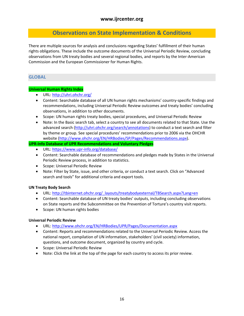### <span id="page-17-0"></span>**Observations on State Implementation & Conditions**

There are multiple sources for analysis and conclusions regarding States' fulfillment of their human rights obligations. These include the outcome documents of the Universal Periodic Review, concluding observations from UN treaty bodies and several regional bodies, and reports by the Inter-American Commission and the European Commissioner for Human Rights.

### <span id="page-17-1"></span>**GLOBAL**

### **Universal Human Rights Index**

- URL:<http://uhri.ohchr.org/>
- Content: Searchable database of all UN human rights mechanisms' country-specific findings and recommendations, including Universal Periodic Review outcomes and treaty bodies' concluding observations, in addition to other documents.
- Scope: UN human rights treaty bodies, special procedures, and Universal Periodic Review
- Note: In the Basic search tab, select a country to see all documents related to that State. Use the advanced search ([http://uhri.ohchr.org/search/annotations\)](http://uhri.ohchr.org/search/annotations) to conduct a text search and filter by theme or group. See special procedures' recommendations prior to 2006 via the OHCHR website ([http://www.ohchr.org/EN/HRBodies/SP/Pages/Recommendations.aspx\)](http://www.ohchr.org/EN/HRBodies/SP/Pages/Recommendations.aspx).

### **UPR-Info Database of UPR Recommendations and Voluntary Pledges**

- URL:<https://www.upr-info.org/database/>
- Content: Searchable database of recommendations and pledges made by States in the Universal Periodic Review process, in addition to statistics.
- **•** Scope: Universal Periodic Review
- Note: Filter by State, issue, and other criteria, or conduct a text search. Click on "Advanced search and tools" for additional criteria and export tools.

### **UN Treaty Body Search**

- URL: [http://tbinternet.ohchr.org/\\_layouts/treatybodyexternal/TBSearch.aspx?Lang=en](http://tbinternet.ohchr.org/_layouts/treatybodyexternal/TBSearch.aspx?Lang=en)
- Content: Searchable database of UN treaty bodies' outputs, including concluding observations on State reports and the Subcommittee on the Prevention of Torture's country visit reports.
- Scope: UN human rights bodies

### **Universal Periodic Review**

- URL:<http://www.ohchr.org/EN/HRBodies/UPR/Pages/Documentation.aspx>
- Content: Reports and recommendations related to the Universal Periodic Review. Access the national report, compilation of UN information, stakeholders' (civil society) information, questions, and outcome document, organized by country and cycle.
- **•** Scope: Universal Periodic Review
- Note: Click the link at the top of the page for each country to access its prior review.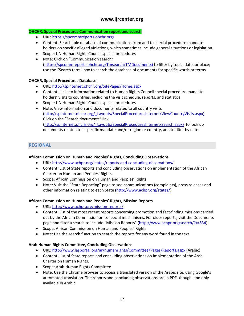### **OHCHR, Special Procedures Communication report and search**

- URL:<https://spcommreports.ohchr.org/>
- Content: Searchable database of communications from and to special procedure mandate holders on specific alleged violations, which sometimes include general situations or legislation.
- Scope: UN Human Rights Council special procedures
- Note: Click on "Communication search" [\(https://spcommreports.ohchr.org/Tmsearch/TMDocuments\)](https://spcommreports.ohchr.org/Tmsearch/TMDocuments)) to filter by topic, date, or place; use the "Search term" box to search the database of documents for specific words or terms.

### **OHCHR, Special Procedures Database**

- URL:<http://spinternet.ohchr.org/SitePages/Home.aspx>
- Content: Links to information related to Human Rights Council special procedure mandate holders' visits to countries, including the visit schedule, reports, and statistics.
- Scope: UN Human Rights Council special procedures
- Note: View information and documents related to all country visits [\(http://spinternet.ohchr.org/\\_Layouts/SpecialProceduresInternet/ViewCountryVisits.aspx\).](http://spinternet.ohchr.org/_Layouts/SpecialProceduresInternet/ViewCountryVisits.aspx)) Click on the "Search documents" link [\(http://spinternet.ohchr.org/\\_Layouts/SpecialProceduresInternet/Search.aspx\)](http://spinternet.ohchr.org/_Layouts/SpecialProceduresInternet/Search.aspx)) to look up documents related to a specific mandate and/or region or country, and to filter by date.

### <span id="page-18-0"></span>**REGIONAL**

#### **African Commission on Human and Peoples' Rights, Concluding Observations**

- URL:<http://www.achpr.org/states/reports-and-concluding-observations/>
- Content: List of State reports and concluding observations on implementation of the African Charter on Human and Peoples' Rights.
- Scope: African Commission on Human and Peoples' Rights
- Note: Visit the "State Reporting" page to see communications (complaints), press releases and other information relating to each State [\(http://www.achpr.org/states/\)](http://www.achpr.org/states/).

### **African Commission on Human and Peoples' Rights, Mission Reports**

- URL:<http://www.achpr.org/mission-reports/>
- Content: List of the most recent reports concerning promotion and fact-finding missions carried out by the African Commission or its special mechanisms. For older reports, visit the Documents page and filter a search to include "Mission Reports" (<http://www.achpr.org/search/?t=834>).
- Scope: African Commission on Human and Peoples' Rights
- Note: Use the search function to search the reports for any word found in the text.

### **Arab Human Rights Committee, Concluding Observations**

- URL:<http://www.lasportal.org/ar/humanrights/Committee/Pages/Reports.aspx> (Arabic)
- Content: List of State reports and concluding observations on implementation of the Arab Charter on Human Rights.
- Scope: Arab Human Rights Committee
- Note: Use the Chrome browser to access a translated version of the Arabic site, using Google's automated translation. The reports and concluding observations are in PDF, though, and only available in Arabic.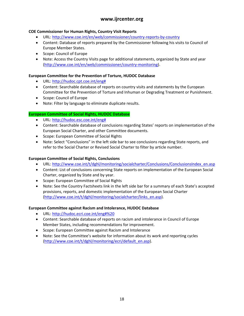### **COE Commissioner for Human Rights, Country Visit Reports**

- URL:<http://www.coe.int/en/web/commissioner/country-reports-by-country>
- Content: Database of reports prepared by the Commissioner following his visits to Council of Europe Member States.
- Scope: Council of Europe
- Note: Access the Country Visits page for additional statements, organized by State and year [\(http://www.coe.int/en/web/commissioner/country-monitoring](http://www.coe.int/en/web/commissioner/country-monitoring)).

### **European Committee for the Prevention of Torture, HUDOC Database**

- URL: [http://hudoc.cpt.coe.int/eng#](http://hudoc.cpt.coe.int/eng)
- Content: Searchable database of reports on country visits and statements by the European Committee for the Prevention of Torture and Inhuman or Degrading Treatment or Punishment.
- Scope: Council of Europe
- Note: Filter by language to eliminate duplicate results.

### **European Committee of Social Rights, HUDOC Database**

- URL: [http://hudoc.esc.coe.int/eng#](http://hudoc.esc.coe.int/eng)
- Content: Searchable database of conclusions regarding States' reports on implementation of the European Social Charter, and other Committee documents.
- Scope: European Committee of Social Rights
- Note: Select "Conclusions" in the left side bar to see conclusions regarding State reports, and refer to the Social Charter or Revised Social Charter to filter by article number.

### **European Committee of Social Rights, Conclusions**

- URL: [http://www.coe.int/t/dghl/monitoring/socialcharter/Conclusions/ConclusionsIndex\\_en.asp](http://www.coe.int/t/dghl/monitoring/socialcharter/Conclusions/ConclusionsIndex_en.asp)
- Content: List of conclusions concerning State reports on implementation of the European Social Charter, organized by State and by year.
- Scope: European Committee of Social Rights
- Note: See the Country Factsheets link in the left side bar for a summary of each State's accepted provisions, reports, and domestic implementation of the European Social Charter [\(http://www.coe.int/t/dghl/monitoring/socialcharter/links\\_en.asp](http://www.coe.int/t/dghl/monitoring/socialcharter/links_en.asp)).

### **European Committee against Racism and Intolerance, HUDOC Database**

- URL:<http://hudoc.ecri.coe.int/eng#%20>
- Content: Searchable database of reports on racism and intolerance in Council of Europe Member States, including recommendations for improvement.
- **•** Scope: European Committee against Racism and Intolerance
- Note: See the Committee's website for information about its work and reporting cycles [\(http://www.coe.int/t/dghl/monitoring/ecri/default\\_en.asp\)](http://www.coe.int/t/dghl/monitoring/ecri/default_en.asp).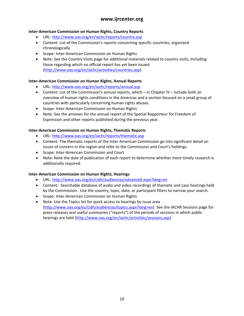### **Inter-American Commission on Human Rights, Country Reports**

- URL:<http://www.oas.org/en/iachr/reports/country.asp>
- Content: List of the Commission's reports concerning specific countries, organized chronologically.
- Scope: Inter-American Commission on Human Rights
- Note: See the Country Visits page for additional materials related to country visits, including those regarding which no official report has yet been issued [\(http://www.oas.org/en/iachr/activities/countries.asp\)](http://www.oas.org/en/iachr/activities/countries.asp).

### **Inter-American Commission on Human Rights, Annual Reports**

- URL:<http://www.oas.org/en/iachr/reports/annual.asp>
- Content: List of the Commission's annual reports, which in Chapter IV include both an overview of human rights conditions in the Americas and a section focused on a small group of countries with particularly concerning human rights abuses.
- Scope: Inter-American Commission on Human Rights
- Note: See the annexes for the annual report of the Special Rapporteur for Freedom of Expression and other reports published during the previous year.

### **Inter-American Commission on Human Rights, Thematic Reports**

- URL:<http://www.oas.org/en/iachr/reports/thematic.asp>
- Content: The thematic reports of the Inter-American Commission go into significant detail on issues of concern in the region and refer to the Commission and Court's holdings.
- Scope: Inter-American Commission and Court
- Note: Note the date of publication of each report to determine whether more timely research is additionally required.

### **Inter-American Commission on Human Rights, Hearings**

- URL:<http://www.oas.org/es/cidh/audiencias/advanced.aspx?lang=en>
- Content: Searchable database of audio and video recordings of thematic and case hearings held by the Commission. Use the country, topic, date, or participant filters to narrow your search.
- Scope: Inter-American Commission on Human Rights
- Note: Use the Topics list for quick access to hearings by issue area [\(http://www.oas.org/es/cidh/audiencias/topics.aspx?lang=en](http://www.oas.org/es/cidh/audiencias/topics.aspx?lang=en)). See the IACHR Sessions page for press releases and useful summaries ("reports") of the periods of sessions in which public hearings are held [\(http://www.oas.org/en/iachr/activities/sessions.asp\)](http://www.oas.org/en/iachr/activities/sessions.asp).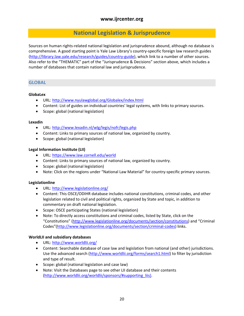### <span id="page-21-0"></span>**National Legislation & Jurisprudence**

Sources on human rights-related national legislation and jurisprudence abound, although no database is comprehensive. A good starting point is Yale Law Library's country-specific foreign law research guides [\(http://library.law.yale.edu/research/guides/country-guide\)](http://library.law.yale.edu/research/guides/country-guide), which link to a number of other sources. Also refer to the "[THEMATIC](#page-12-0)" part of the "Jurisprudence & Decisions" section above, which includes a number of databases that contain national law and jurisprudence.

### <span id="page-21-1"></span>**GLOBAL**

### **GlobaLex**

- URL:<http://www.nyulawglobal.org/Globalex/index.html>
- Content: List of guides on individual countries' legal systems, with links to primary sources.
- Scope: global (national legislation)

### **Lexadin**

- URL:<http://www.lexadin.nl/wlg/legis/nofr/legis.php>
- Content: Links to primary sources of national law, organized by country.
- Scope: global (national legislation)

### **Legal Information Institute (LII)**

- URL:<https://www.law.cornell.edu/world>
- Content: Links to primary sources of national law, organized by country.
- Scope: global (national legislation)
- Note: Click on the regions under "National Law Material" for country-specific primary sources.

### **Legislationline**

- URL:<http://www.legislationline.org/>
- Content: This OSCE/ODIHR database includes national constitutions, criminal codes, and other legislation related to civil and political rights, organized by State and topic, in addition to commentary on draft national legislation.
- Scope: OSCE participating States (national legislation)
- Note: To directly access constitutions and criminal codes, listed by State, click on the "Constitutions" (<http://www.legislationline.org/documents/section/constitutions>) and "Criminal Codes"[\(http://www.legislationline.org/documents/section/criminal-codes\)](http://www.legislationline.org/documents/section/criminal-codes) links.

### **WorldLII and subsidiary databases**

- URL:<http://www.worldlii.org/>
- Content: Searchable database of case law and legislation from national (and other) jurisdictions. Use the advanced search [\(http://www.worldlii.org/forms/search1.html](http://www.worldlii.org/forms/search1.html)) to filter by jurisdiction and type of result.
- Scope: global (national legislation and case law)
- Note: Visit the Databases page to see other LII database and their contents [\(http://www.worldlii.org/worldlii/sponsors/#supporting\\_liis\).](http://www.worldlii.org/worldlii/sponsors/#supporting_liis))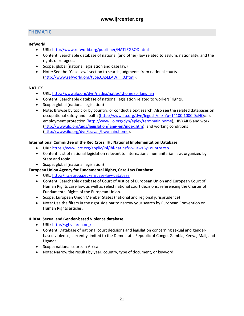### <span id="page-22-0"></span>**THEMATIC**

### **Refworld**

- URL:<http://www.refworld.org/publisher/NATLEGBOD.html>
- Content: Searchable database of national (and other) law related to asylum, nationality, and the rights of refugees.
- Scope: global (national legislation and case law)
- Note: See the "Case Law" section to search judgments from national courts [\(http://www.refworld.org/type,CASELAW,,,,,0.html](http://www.refworld.org/type,CASELAW,,,,,0.html)).

### **NATLEX**

- URL: [http://www.ilo.org/dyn/natlex/natlex4.home?p\\_lang=en](http://www.ilo.org/dyn/natlex/natlex4.home?p_lang=en)
- Content: Searchable database of national legislation related to workers' rights.
- Scope: global (national legislation)
- Note: Browse by topic or by country, or conduct a text search. Also see the related databases on occupational safety and health [\(http://www.ilo.org/dyn/legosh/en/f?p=14100:1000:0::NO:](http://www.ilo.org/dyn/legosh/en/f?p=14100:1000:0::NO):: ), employment protection [\(http://www.ilo.org/dyn/eplex/termmain.home\)](http://www.ilo.org/dyn/eplex/termmain.home), HIV/AIDS and work [\(http://www.ilo.org/aids/legislation/lang--en/index.htm](http://www.ilo.org/aids/legislation/lang--en/index.htm)), and working conditions [\(http://www.ilo.org/dyn/travail/travmain.home\)](http://www.ilo.org/dyn/travail/travmain.home).

### **International Committee of the Red Cross, IHL National Implementation Database**

- URL:<https://www.icrc.org/applic/ihl/ihl-nat.nsf/vwLawsByCountry.xsp>
- Content: List of national legislation relevant to international humanitarian law, organized by State and topic.
- Scope: global (national legislation)
- **European Union Agency for Fundamental Rights, Case-Law Database**
	- URL:<http://fra.europa.eu/en/case-law-database>
	- Content: Searchable database of Court of Justice of European Union and European Court of Human Rights case law, as well as select national court decisions, referencing the Charter of Fundamental Rights of the European Union.
	- Scope: European Union Member States (national and regional jurisprudence)
	- Note: Use the filters in the right side bar to narrow your search by European Convention on Human Rights articles.

### **IHRDA, Sexual and Gender-based Violence database**

- URL:<http://sgbv.ihrda.org/>
- Content: Database of national court decisions and legislation concerning sexual and genderbased violence, currently limited to the Democratic Republic of Congo, Gambia, Kenya, Mali, and Uganda.
- Scope: national courts in Africa
- Note: Narrow the results by year, country, type of document, or keyword.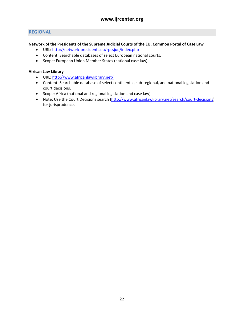### <span id="page-23-0"></span>**REGIONAL**

### **Network of the Presidents of the Supreme Judicial Courts of the EU, Common Portal of Case Law**

- URL:<http://network-presidents.eu/rpcsjue/index.php>
- Content: Searchable databases of select European national courts.
- Scope: European Union Member States (national case law)

### **African Law Library**

- URL:<http://www.africanlawlibrary.net/>
- Content: Searchable database of select continental, sub-regional, and national legislation and court decisions.
- Scope: Africa (national and regional legislation and case law)
- Note: Use the Court Decisions search [\(http://www.africanlawlibrary.net/search/court-decisions](http://www.africanlawlibrary.net/search/court-decisions)) for jurisprudence.